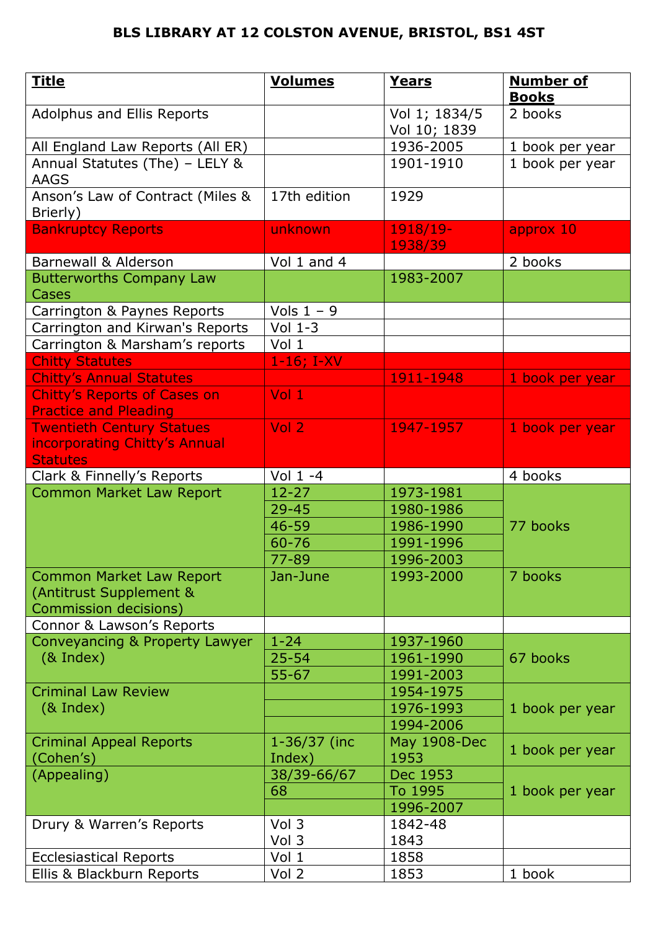| <b>Title</b>                                                        | <b>Volumes</b>    | <b>Years</b>                  | <b>Number of</b><br><b>Books</b> |
|---------------------------------------------------------------------|-------------------|-------------------------------|----------------------------------|
| Adolphus and Ellis Reports                                          |                   | Vol 1; 1834/5<br>Vol 10; 1839 | 2 books                          |
| All England Law Reports (All ER)                                    |                   | 1936-2005                     | 1 book per year                  |
| Annual Statutes (The) - LELY &<br><b>AAGS</b>                       |                   | 1901-1910                     | 1 book per year                  |
| Anson's Law of Contract (Miles &<br>Brierly)                        | 17th edition      | 1929                          |                                  |
| <b>Bankruptcy Reports</b>                                           | unknown           | 1918/19-<br>1938/39           | approx 10                        |
| <b>Barnewall &amp; Alderson</b>                                     | Vol 1 and 4       |                               | 2 books                          |
| <b>Butterworths Company Law</b><br>Cases                            |                   | 1983-2007                     |                                  |
| Carrington & Paynes Reports                                         | Vols $1 - 9$      |                               |                                  |
| Carrington and Kirwan's Reports                                     | Vol $1-3$         |                               |                                  |
| Carrington & Marsham's reports                                      | Vol 1             |                               |                                  |
| <b>Chitty Statutes</b>                                              | $1-16; I-XV$      |                               |                                  |
| <b>Chitty's Annual Statutes</b>                                     |                   | 1911-1948                     | 1 book per year                  |
| <b>Chitty's Reports of Cases on</b><br><b>Practice and Pleading</b> | $Vol_1$           |                               |                                  |
| <b>Twentieth Century Statues</b>                                    | Vol 2             | 1947-1957                     | 1 book per year                  |
| incorporating Chitty's Annual<br><b>Statutes</b>                    |                   |                               |                                  |
| Clark & Finnelly's Reports                                          | Vol $1 - 4$       |                               | 4 books                          |
| <b>Common Market Law Report</b>                                     | $12 - 27$         | 1973-1981                     |                                  |
|                                                                     | $29 - 45$         | 1980-1986                     |                                  |
|                                                                     | 46-59             | 1986-1990                     | 77 books                         |
|                                                                     | 60-76             | 1991-1996                     |                                  |
|                                                                     | 77-89             | 1996-2003                     |                                  |
| <b>Common Market Law Report</b>                                     | Jan-June          | 1993-2000                     | 7 books                          |
| (Antitrust Supplement &                                             |                   |                               |                                  |
| Commission decisions)                                               |                   |                               |                                  |
| Connor & Lawson's Reports                                           |                   |                               |                                  |
| Conveyancing & Property Lawyer                                      | $1 - 24$          | 1937-1960                     |                                  |
| $(8$ Index)                                                         | $25 - 54$         | 1961-1990                     | 67 books                         |
|                                                                     | $55 - 67$         | 1991-2003                     |                                  |
| <b>Criminal Law Review</b>                                          |                   | 1954-1975                     |                                  |
| $(8$ Index)                                                         |                   | 1976-1993                     | 1 book per year                  |
|                                                                     |                   | 1994-2006                     |                                  |
| <b>Criminal Appeal Reports</b>                                      | 1-36/37 (inc      | <b>May 1908-Dec</b>           | 1 book per year                  |
| (Cohen's)                                                           | Index)            | 1953<br>Dec 1953              |                                  |
| (Appealing)                                                         | 38/39-66/67<br>68 | To 1995                       |                                  |
|                                                                     |                   | 1996-2007                     | 1 book per year                  |
| Drury & Warren's Reports                                            | Vol 3             | 1842-48                       |                                  |
|                                                                     | Vol 3             | 1843                          |                                  |
| <b>Ecclesiastical Reports</b>                                       | Vol 1             | 1858                          |                                  |
| Ellis & Blackburn Reports                                           | Vol 2             | 1853                          | 1 book                           |
|                                                                     |                   |                               |                                  |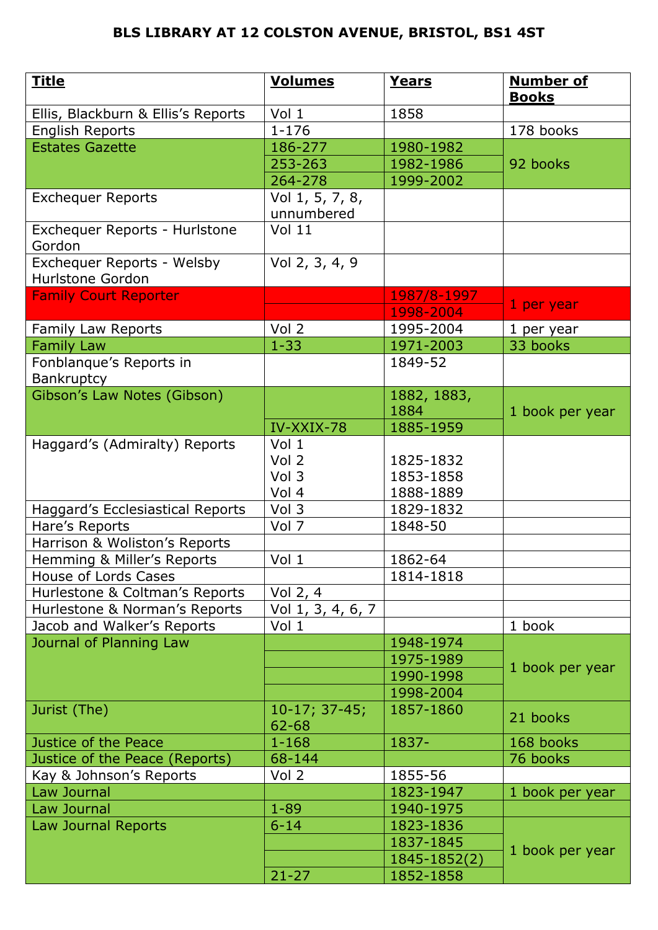| <b>Title</b>                                   | <b>Volumes</b>               | <b>Years</b> | <b>Number of</b><br><b>Books</b> |
|------------------------------------------------|------------------------------|--------------|----------------------------------|
| Ellis, Blackburn & Ellis's Reports             | Vol 1                        | 1858         |                                  |
| English Reports                                | $1 - 176$                    |              | 178 books                        |
| <b>Estates Gazette</b>                         | 186-277                      | 1980-1982    |                                  |
|                                                | 253-263                      | 1982-1986    | 92 books                         |
|                                                | 264-278                      | 1999-2002    |                                  |
| <b>Exchequer Reports</b>                       | Vol 1, 5, 7, 8,              |              |                                  |
|                                                | unnumbered                   |              |                                  |
| Exchequer Reports - Hurlstone<br>Gordon        | Vol <sub>11</sub>            |              |                                  |
| Exchequer Reports - Welsby<br>Hurlstone Gordon | Vol 2, 3, 4, 9               |              |                                  |
| <b>Family Court Reporter</b>                   |                              | 1987/8-1997  |                                  |
|                                                |                              | 1998-2004    | 1 per year                       |
| Family Law Reports                             | Vol 2                        | 1995-2004    | 1 per year                       |
| <b>Family Law</b>                              | $1 - 33$                     | 1971-2003    | 33 books                         |
| Fonblanque's Reports in                        |                              | 1849-52      |                                  |
| <b>Bankruptcy</b>                              |                              |              |                                  |
| Gibson's Law Notes (Gibson)                    |                              | 1882, 1883,  |                                  |
|                                                |                              | 1884         | 1 book per year                  |
|                                                | IV-XXIX-78                   | 1885-1959    |                                  |
| Haggard's (Admiralty) Reports                  | Vol 1                        |              |                                  |
|                                                | Vol 2                        | 1825-1832    |                                  |
|                                                | Vol 3                        | 1853-1858    |                                  |
|                                                | Vol 4                        | 1888-1889    |                                  |
| Haggard's Ecclesiastical Reports               | Vol 3                        | 1829-1832    |                                  |
| Hare's Reports                                 | Vol 7                        | 1848-50      |                                  |
| Harrison & Woliston's Reports                  |                              |              |                                  |
| Hemming & Miller's Reports                     | Vol 1                        | 1862-64      |                                  |
| House of Lords Cases                           |                              | 1814-1818    |                                  |
| Hurlestone & Coltman's Reports                 | Vol 2, 4                     |              |                                  |
| Hurlestone & Norman's Reports                  | Vol $1, 3, 4, 6, 7$          |              |                                  |
| Jacob and Walker's Reports                     | Vol 1                        |              | 1 book                           |
| Journal of Planning Law                        |                              | 1948-1974    |                                  |
|                                                |                              | 1975-1989    | 1 book per year                  |
|                                                |                              | 1990-1998    |                                  |
|                                                |                              | 1998-2004    |                                  |
| Jurist (The)                                   | $10-17; 37-45;$<br>$62 - 68$ | 1857-1860    | 21 books                         |
| Justice of the Peace                           | $1 - 168$                    | 1837-        | 168 books                        |
| Justice of the Peace (Reports)                 | 68-144                       |              | 76 books                         |
| Kay & Johnson's Reports                        | Vol 2                        | 1855-56      |                                  |
| Law Journal                                    |                              | 1823-1947    | 1 book per year                  |
| Law Journal                                    | $1 - 89$                     | 1940-1975    |                                  |
| Law Journal Reports                            | $6 - 14$                     | 1823-1836    |                                  |
|                                                |                              | 1837-1845    | 1 book per year                  |
|                                                |                              | 1845-1852(2) |                                  |
|                                                | $21 - 27$                    | 1852-1858    |                                  |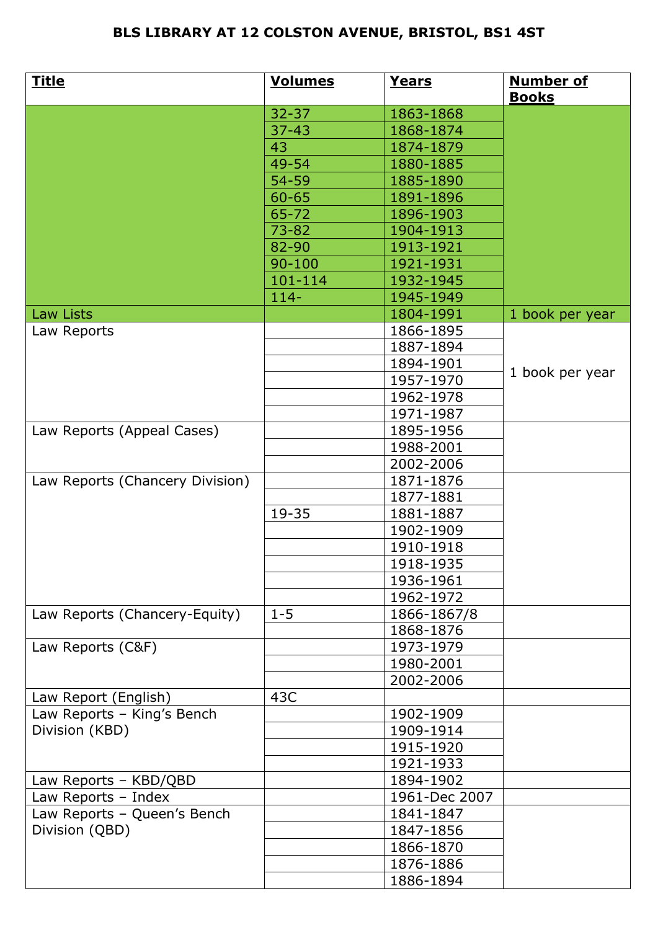| <u>Title</u>                    | <b>Volumes</b> | Years                  | <b>Number of</b><br><b>Books</b> |
|---------------------------------|----------------|------------------------|----------------------------------|
|                                 | $32 - 37$      | 1863-1868              |                                  |
|                                 | $37 - 43$      | 1868-1874              |                                  |
|                                 | 43             | 1874-1879              |                                  |
|                                 | 49-54          | 1880-1885              |                                  |
|                                 | 54-59          | 1885-1890              |                                  |
|                                 | $60 - 65$      | 1891-1896              |                                  |
|                                 | $65 - 72$      | 1896-1903              |                                  |
|                                 | $73 - 82$      | 1904-1913              |                                  |
|                                 | 82-90          | 1913-1921              |                                  |
|                                 | $90 - 100$     | 1921-1931              |                                  |
|                                 | 101-114        | 1932-1945              |                                  |
|                                 | $114 -$        | 1945-1949              |                                  |
| Law Lists                       |                | 1804-1991              | 1 book per year                  |
| Law Reports                     |                | 1866-1895              |                                  |
|                                 |                | 1887-1894              |                                  |
|                                 |                | 1894-1901              |                                  |
|                                 |                | 1957-1970              | 1 book per year                  |
|                                 |                | 1962-1978              |                                  |
|                                 |                | 1971-1987              |                                  |
| Law Reports (Appeal Cases)      |                | 1895-1956              |                                  |
|                                 |                | 1988-2001              |                                  |
|                                 |                | 2002-2006              |                                  |
| Law Reports (Chancery Division) |                | 1871-1876              |                                  |
|                                 |                | 1877-1881              |                                  |
|                                 | 19-35          | 1881-1887              |                                  |
|                                 |                | 1902-1909              |                                  |
|                                 |                | 1910-1918              |                                  |
|                                 |                | 1918-1935              |                                  |
|                                 |                | 1936-1961              |                                  |
|                                 |                | 1962-1972              |                                  |
|                                 |                |                        |                                  |
| Law Reports (Chancery-Equity)   | $1 - 5$        | 1866-1867/8            |                                  |
|                                 |                | 1868-1876              |                                  |
| Law Reports (C&F)               |                | 1973-1979              |                                  |
|                                 |                | 1980-2001<br>2002-2006 |                                  |
|                                 |                |                        |                                  |
| Law Report (English)            | 43C            |                        |                                  |
| Law Reports - King's Bench      |                | 1902-1909              |                                  |
| Division (KBD)                  |                | 1909-1914              |                                  |
|                                 |                | 1915-1920              |                                  |
|                                 |                | 1921-1933              |                                  |
| Law Reports - KBD/QBD           |                | 1894-1902              |                                  |
| Law Reports - Index             |                | 1961-Dec 2007          |                                  |
| Law Reports - Queen's Bench     |                | 1841-1847              |                                  |
| Division (QBD)                  |                | 1847-1856              |                                  |
|                                 |                | 1866-1870              |                                  |
|                                 |                | 1876-1886              |                                  |
|                                 |                | 1886-1894              |                                  |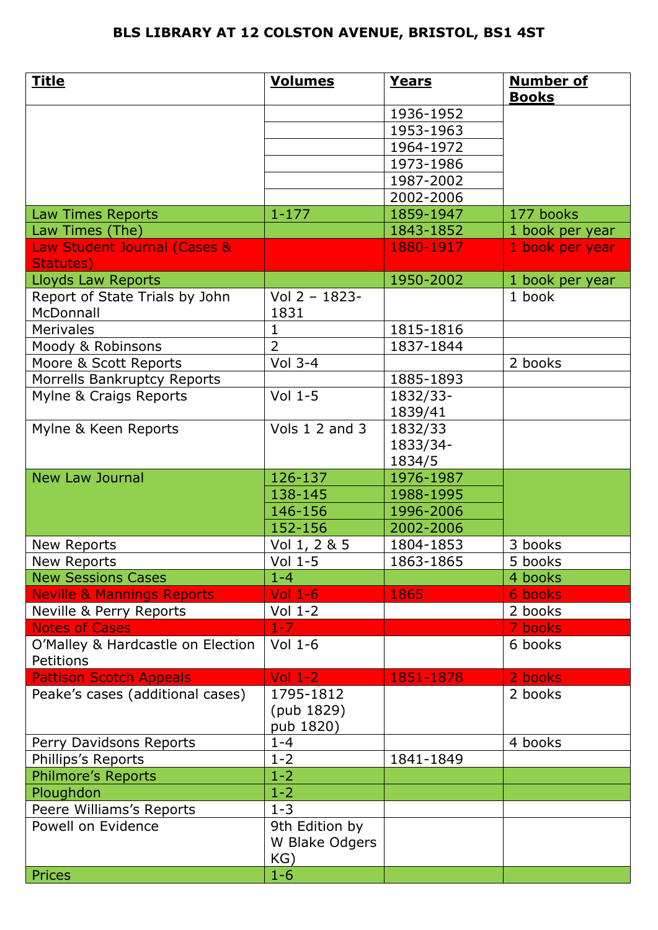| <u>Title</u>                                   | <b>Volumes</b>                       | Years     | <b>Number of</b><br><b>Books</b> |
|------------------------------------------------|--------------------------------------|-----------|----------------------------------|
|                                                |                                      | 1936-1952 |                                  |
|                                                |                                      | 1953-1963 |                                  |
|                                                |                                      | 1964-1972 |                                  |
|                                                |                                      | 1973-1986 |                                  |
|                                                |                                      | 1987-2002 |                                  |
|                                                |                                      | 2002-2006 |                                  |
| Law Times Reports                              | $1 - 177$                            | 1859-1947 | 177 books                        |
| Law Times (The)                                |                                      | 1843-1852 | 1 book per year                  |
| Law Student Journal (Cases &<br>Statutes)      |                                      | 1880-1917 | 1 book per year                  |
| <b>Lloyds Law Reports</b>                      |                                      | 1950-2002 | 1 book per year                  |
| Report of State Trials by John<br>McDonnall    | Vol 2 - 1823-<br>1831                |           | 1 book                           |
| <b>Merivales</b>                               | 1                                    | 1815-1816 |                                  |
| Moody & Robinsons                              | $\overline{2}$                       | 1837-1844 |                                  |
| Moore & Scott Reports                          | Vol $3-4$                            |           | 2 books                          |
| Morrells Bankruptcy Reports                    |                                      | 1885-1893 |                                  |
| Mylne & Craigs Reports                         | Vol $1-5$                            | 1832/33-  |                                  |
|                                                |                                      | 1839/41   |                                  |
| Mylne & Keen Reports                           | Vols 1 2 and 3                       | 1832/33   |                                  |
|                                                |                                      | 1833/34-  |                                  |
|                                                |                                      | 1834/5    |                                  |
| <b>New Law Journal</b>                         | 126-137                              | 1976-1987 |                                  |
|                                                | 138-145                              | 1988-1995 |                                  |
|                                                | 146-156                              | 1996-2006 |                                  |
|                                                | 152-156                              | 2002-2006 |                                  |
| New Reports                                    | Vol 1, 2 & 5                         | 1804-1853 | 3 books                          |
| New Reports                                    | Vol $1-5$                            | 1863-1865 | 5 books                          |
| <b>New Sessions Cases</b>                      | $1 - 4$                              |           | 4 books                          |
| <b>Neville &amp; Mannings Reports</b>          | $Vol$ 1-6                            | 1865      | 6 books                          |
| Neville & Perry Reports                        | Vol $1-2$                            |           | 2 books                          |
| <b>Notes of Cases</b>                          | $1 - 7$                              |           | 7 books                          |
| O'Malley & Hardcastle on Election<br>Petitions | Vol $1-6$                            |           | 6 books                          |
| <b>Pattison Scotch Appeals</b>                 | Vol $1-2$                            | 1851-1878 | 2 books                          |
| Peake's cases (additional cases)               | 1795-1812<br>(pub 1829)<br>pub 1820) |           | 2 books                          |
| Perry Davidsons Reports                        | $1 - 4$                              |           | 4 books                          |
| Phillips's Reports                             | $1 - 2$                              | 1841-1849 |                                  |
| Philmore's Reports                             | $1 - 2$                              |           |                                  |
| Ploughdon                                      | $1 - 2$                              |           |                                  |
| Peere Williams's Reports                       | $1 - 3$                              |           |                                  |
| Powell on Evidence                             | 9th Edition by                       |           |                                  |
|                                                | W Blake Odgers                       |           |                                  |
|                                                | KG)                                  |           |                                  |
| Prices                                         | $1 - 6$                              |           |                                  |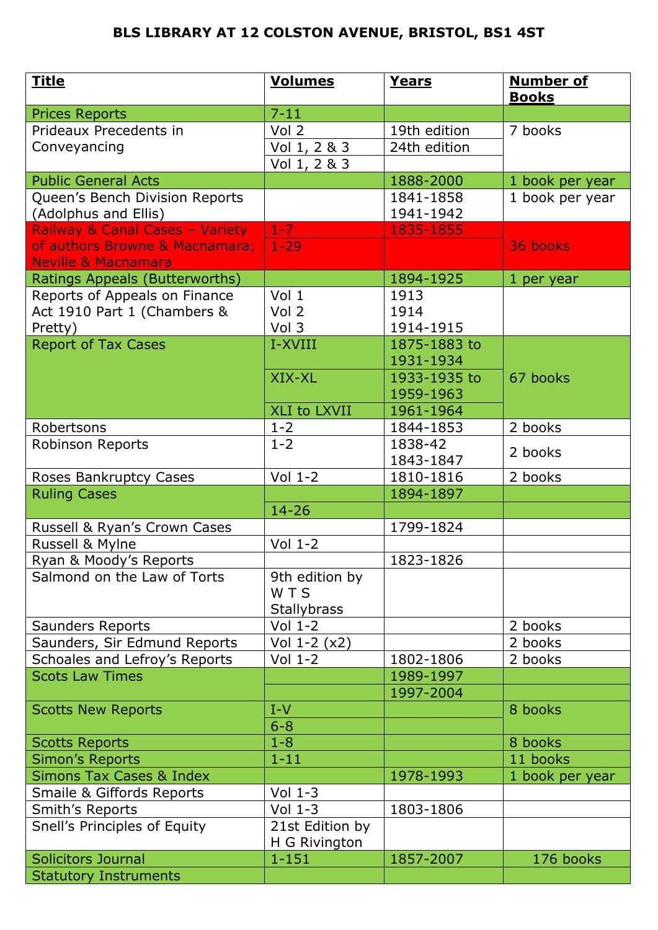| <u>Title</u>                          | <b>Volumes</b>                   | Years             | <b>Number of</b><br><b>Books</b> |
|---------------------------------------|----------------------------------|-------------------|----------------------------------|
| <b>Prices Reports</b>                 | $7 - 11$                         |                   |                                  |
| Prideaux Precedents in                | Vol 2                            | 19th edition      | 7 books                          |
| Conveyancing                          | Vol 1, 2 & 3                     | 24th edition      |                                  |
|                                       | Vol 1, 2 & 3                     |                   |                                  |
| <b>Public General Acts</b>            |                                  | 1888-2000         | 1 book per year                  |
| Queen's Bench Division Reports        |                                  | 1841-1858         | 1 book per year                  |
| (Adolphus and Ellis)                  |                                  | 1941-1942         |                                  |
| Railway & Canal Cases - Variety       | $1-7$                            | 1835-1855         |                                  |
| of authors Browne & Macnamara;        | $1 - 29$                         |                   | 36 books                         |
| <b>Neville &amp; Macnamara</b>        |                                  |                   |                                  |
| Ratings Appeals (Butterworths)        |                                  | 1894-1925         | 1 per year                       |
| Reports of Appeals on Finance         | Vol <sub>1</sub>                 | 1913              |                                  |
| Act 1910 Part 1 (Chambers &           | Vol 2<br>Vol 3                   | 1914<br>1914-1915 |                                  |
| Pretty)<br><b>Report of Tax Cases</b> | I-XVIII                          | 1875-1883 to      |                                  |
|                                       |                                  | 1931-1934         |                                  |
|                                       | XIX-XL                           | 1933-1935 to      | 67 books                         |
|                                       |                                  | 1959-1963         |                                  |
|                                       | XLI to LXVII                     | 1961-1964         |                                  |
| Robertsons                            | $1 - 2$                          | 1844-1853         | 2 books                          |
| Robinson Reports                      | $1 - 2$                          | 1838-42           |                                  |
|                                       |                                  | 1843-1847         | 2 books                          |
| Roses Bankruptcy Cases                | $Vol_1-2$                        | 1810-1816         | 2 books                          |
| <b>Ruling Cases</b>                   |                                  | 1894-1897         |                                  |
|                                       | $14 - 26$                        |                   |                                  |
| Russell & Ryan's Crown Cases          |                                  | 1799-1824         |                                  |
| Russell & Mylne                       | $Vol_1-2$                        |                   |                                  |
| Ryan & Moody's Reports                |                                  | 1823-1826         |                                  |
| Salmond on the Law of Torts           | 9th edition by                   |                   |                                  |
|                                       | <b>WTS</b>                       |                   |                                  |
|                                       | <b>Stallybrass</b>               |                   |                                  |
| <b>Saunders Reports</b>               | $Vol_1-2$                        |                   | 2 books                          |
| Saunders, Sir Edmund Reports          | Vol $1-2(x2)$                    |                   | 2 books                          |
| Schoales and Lefroy's Reports         | $Vol_1-2$                        | 1802-1806         | 2 books                          |
| <b>Scots Law Times</b>                |                                  | 1989-1997         |                                  |
|                                       |                                  | 1997-2004         |                                  |
| <b>Scotts New Reports</b>             | $I-V$                            |                   | 8 books                          |
|                                       | $6 - 8$                          |                   |                                  |
| <b>Scotts Reports</b>                 | $1 - 8$                          |                   | 8 books                          |
| <b>Simon's Reports</b>                | $1 - 11$                         |                   | 11 books                         |
| <b>Simons Tax Cases &amp; Index</b>   |                                  | 1978-1993         | 1 book per year                  |
| <b>Smaile &amp; Giffords Reports</b>  | Vol $1-3$                        |                   |                                  |
| Smith's Reports                       | Vol $1-3$                        | 1803-1806         |                                  |
| Snell's Principles of Equity          | 21st Edition by<br>H G Rivington |                   |                                  |
| <b>Solicitors Journal</b>             | $1 - 151$                        | 1857-2007         | 176 books                        |
| <b>Statutory Instruments</b>          |                                  |                   |                                  |